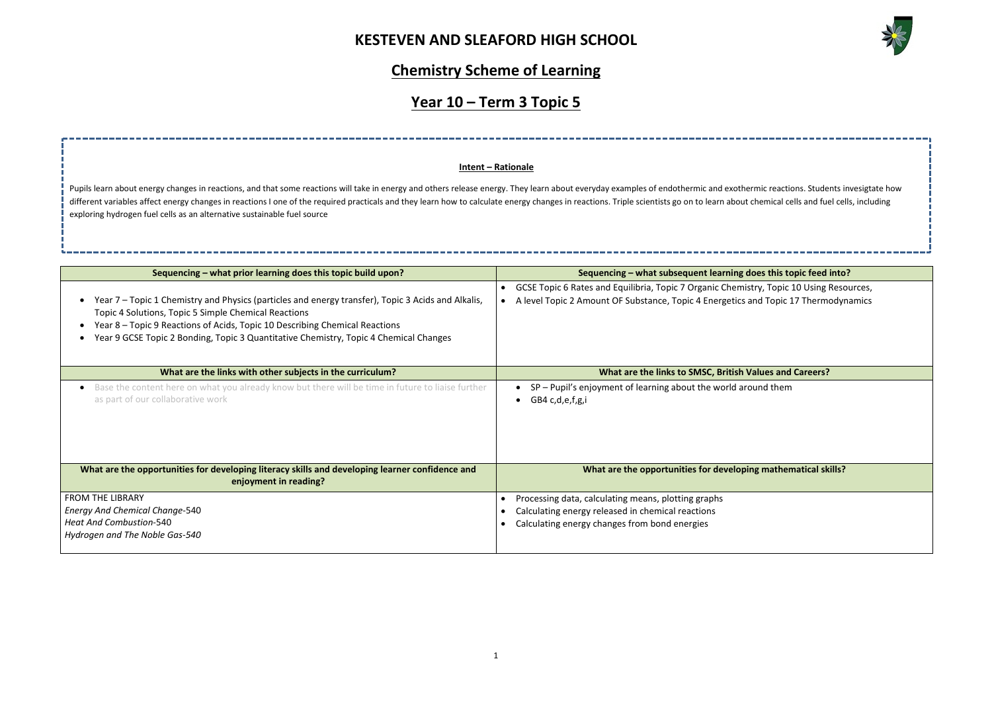

**Sequencing inding does this topic feed into?** stry, Topic 10 Using Resources, and Topic 17 Thermodynamics **Walues and Careers?** ound them **Ing mathematical skills?** 

# **Chemistry Scheme of Learning**

# **Year 10 – Term 3 Topic 5**

| Sequencing – what prior learning does this topic build upon?                                                                                                                                                                                                                                                                       | Sequencing - what subsequent learning of                                                                                                                               |
|------------------------------------------------------------------------------------------------------------------------------------------------------------------------------------------------------------------------------------------------------------------------------------------------------------------------------------|------------------------------------------------------------------------------------------------------------------------------------------------------------------------|
| Year 7 – Topic 1 Chemistry and Physics (particles and energy transfer), Topic 3 Acids and Alkalis,<br>Topic 4 Solutions, Topic 5 Simple Chemical Reactions<br>Year 8 - Topic 9 Reactions of Acids, Topic 10 Describing Chemical Reactions<br>Year 9 GCSE Topic 2 Bonding, Topic 3 Quantitative Chemistry, Topic 4 Chemical Changes | GCSE Topic 6 Rates and Equilibria, Topic 7 Organic Chemis<br>A level Topic 2 Amount OF Substance, Topic 4 Energetics a<br>$\bullet$                                    |
| What are the links with other subjects in the curriculum?                                                                                                                                                                                                                                                                          | What are the links to SMSC, British \                                                                                                                                  |
| Base the content here on what you already know but there will be time in future to liaise further<br>as part of our collaborative work                                                                                                                                                                                             | SP - Pupil's enjoyment of learning about the world are<br>GB4 c,d,e,f,g,i                                                                                              |
| What are the opportunities for developing literacy skills and developing learner confidence and<br>enjoyment in reading?                                                                                                                                                                                                           | What are the opportunities for developi                                                                                                                                |
| <b>FROM THE LIBRARY</b><br><b>Energy And Chemical Change-540</b><br><b>Heat And Combustion-540</b><br>Hydrogen and The Noble Gas-540                                                                                                                                                                                               | Processing data, calculating means, plotting graphs<br>$\bullet$<br>Calculating energy released in chemical reactions<br>Calculating energy changes from bond energies |

Pupils learn about energy changes in reactions, and that some reactions will take in energy and others release energy. They learn about everyday examples of endothermic and exothermic reactions. Students invesigtate how different variables affect energy changes in reactions I one of the required practicals and they learn how to calculate energy changes in reactions. Triple scientists go on to learn about chemical cells and fuel cells, inc exploring hydrogen fuel cells as an alternative sustainable fuel source

### **Intent – Rationale**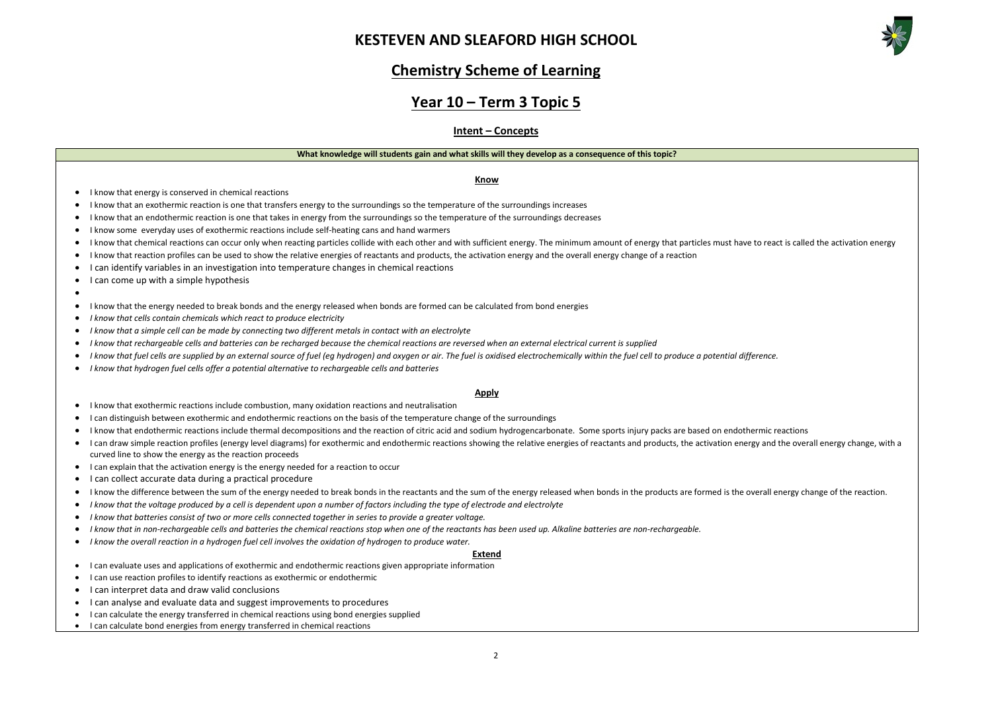

## **Chemistry Scheme of Learning**

## **Year 10 – Term 3 Topic 5**

### **Intent – Concepts**

#### **What knowledge will students gain and what skills will they develop as a consequence of this topic?**

#### **Know**

- I know that energy is conserved in chemical reactions
- I know that an exothermic reaction is one that transfers energy to the surroundings so the temperature of the surroundings increases
- I know that an endothermic reaction is one that takes in energy from the surroundings so the temperature of the surroundings decreases
- I know some everyday uses of exothermic reactions include self-heating cans and hand warmers
- I know that chemical reactions can occur only when reacting particles collide with each other and with sufficient energy. The minimum amount of energy that particles must have to react is called the activation energy
- I know that reaction profiles can be used to show the relative energies of reactants and products, the activation energy and the overall energy change of a reaction
- I can identify variables in an investigation into temperature changes in chemical reactions
- I can come up with a simple hypothesis

#### •

- I know that the energy needed to break bonds and the energy released when bonds are formed can be calculated from bond energies
- *I know that cells contain chemicals which react to produce electricity*
- *I know that a simple cell can be made by connecting two different metals in contact with an electrolyte*
- *I know that rechargeable cells and batteries can be recharged because the chemical reactions are reversed when an external electrical current is supplied*
- *I know that fuel cells are supplied by an external source of fuel (eg hydrogen) and oxygen or air. The fuel is oxidised electrochemically within the fuel cell to produce a potential difference.*
- *I know that hydrogen fuel cells offer a potential alternative to rechargeable cells and batteries*

#### **Apply**

- I know that exothermic reactions include combustion, many oxidation reactions and neutralisation
- I can distinguish between exothermic and endothermic reactions on the basis of the temperature change of the surroundings
- I know that endothermic reactions include thermal decompositions and the reaction of citric acid and sodium hydrogencarbonate. Some sports injury packs are based on endothermic reactions
- I can draw simple reaction profiles (energy level diagrams) for exothermic and endothermic reactions showing the relative energies of reactants and products, the activation energy and the overall energy change, with a curved line to show the energy as the reaction proceeds
- I can explain that the activation energy is the energy needed for a reaction to occur
- I can collect accurate data during a practical procedure
- I know the difference between the sum of the energy needed to break bonds in the reactants and the sum of the energy released when bonds in the products are formed is the overall energy change of the reaction.
- *I know that the voltage produced by a cell is dependent upon a number of factors including the type of electrode and electrolyte*
- *I know that batteries consist of two or more cells connected together in series to provide a greater voltage.*
- *I know that in non-rechargeable cells and batteries the chemical reactions stop when one of the reactants has been used up. Alkaline batteries are non-rechargeable.*
- *I know the overall reaction in a hydrogen fuel cell involves the oxidation of hydrogen to produce water.*

#### **Extend**

- I can evaluate uses and applications of exothermic and endothermic reactions given appropriate information
- I can use reaction profiles to identify reactions as exothermic or endothermic
- I can interpret data and draw valid conclusions
- I can analyse and evaluate data and suggest improvements to procedures
- I can calculate the energy transferred in chemical reactions using bond energies supplied
- I can calculate bond energies from energy transferred in chemical reactions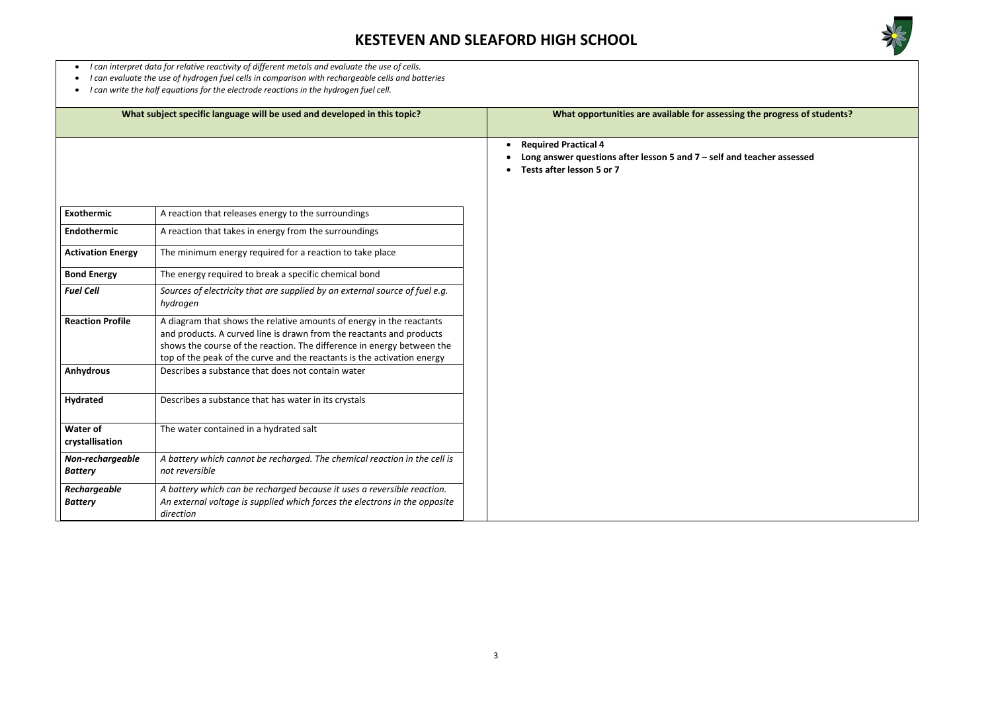

### the progress of students?

teacher assessed

- *I can interpret data for relative reactivity of different metals and evaluate the use of cells.*
- *I can evaluate the use of hydrogen fuel cells in comparison with rechargeable cells and batteries*
- *I can write the half equations for the electrode reactions in the hydrogen fuel cell.*

|                                    | What subject specific language will be used and developed in this topic?                                                                                                                                                                                                                          | What opportunities are available for assessing                                                                        |
|------------------------------------|---------------------------------------------------------------------------------------------------------------------------------------------------------------------------------------------------------------------------------------------------------------------------------------------------|-----------------------------------------------------------------------------------------------------------------------|
|                                    |                                                                                                                                                                                                                                                                                                   | <b>Required Practical 4</b><br>Long answer questions after lesson 5 and $7$ – self and t<br>Tests after lesson 5 or 7 |
| <b>Exothermic</b>                  | A reaction that releases energy to the surroundings                                                                                                                                                                                                                                               |                                                                                                                       |
| Endothermic                        | A reaction that takes in energy from the surroundings                                                                                                                                                                                                                                             |                                                                                                                       |
| <b>Activation Energy</b>           | The minimum energy required for a reaction to take place                                                                                                                                                                                                                                          |                                                                                                                       |
| <b>Bond Energy</b>                 | The energy required to break a specific chemical bond                                                                                                                                                                                                                                             |                                                                                                                       |
| <b>Fuel Cell</b>                   | Sources of electricity that are supplied by an external source of fuel e.g.<br>hydrogen                                                                                                                                                                                                           |                                                                                                                       |
| <b>Reaction Profile</b>            | A diagram that shows the relative amounts of energy in the reactants<br>and products. A curved line is drawn from the reactants and products<br>shows the course of the reaction. The difference in energy between the<br>top of the peak of the curve and the reactants is the activation energy |                                                                                                                       |
| <b>Anhydrous</b>                   | Describes a substance that does not contain water                                                                                                                                                                                                                                                 |                                                                                                                       |
| <b>Hydrated</b>                    | Describes a substance that has water in its crystals                                                                                                                                                                                                                                              |                                                                                                                       |
| <b>Water of</b><br>crystallisation | The water contained in a hydrated salt                                                                                                                                                                                                                                                            |                                                                                                                       |
| Non-rechargeable<br><b>Battery</b> | A battery which cannot be recharged. The chemical reaction in the cell is<br>not reversible                                                                                                                                                                                                       |                                                                                                                       |
| Rechargeable<br><b>Battery</b>     | A battery which can be recharged because it uses a reversible reaction.<br>An external voltage is supplied which forces the electrons in the opposite<br>direction                                                                                                                                |                                                                                                                       |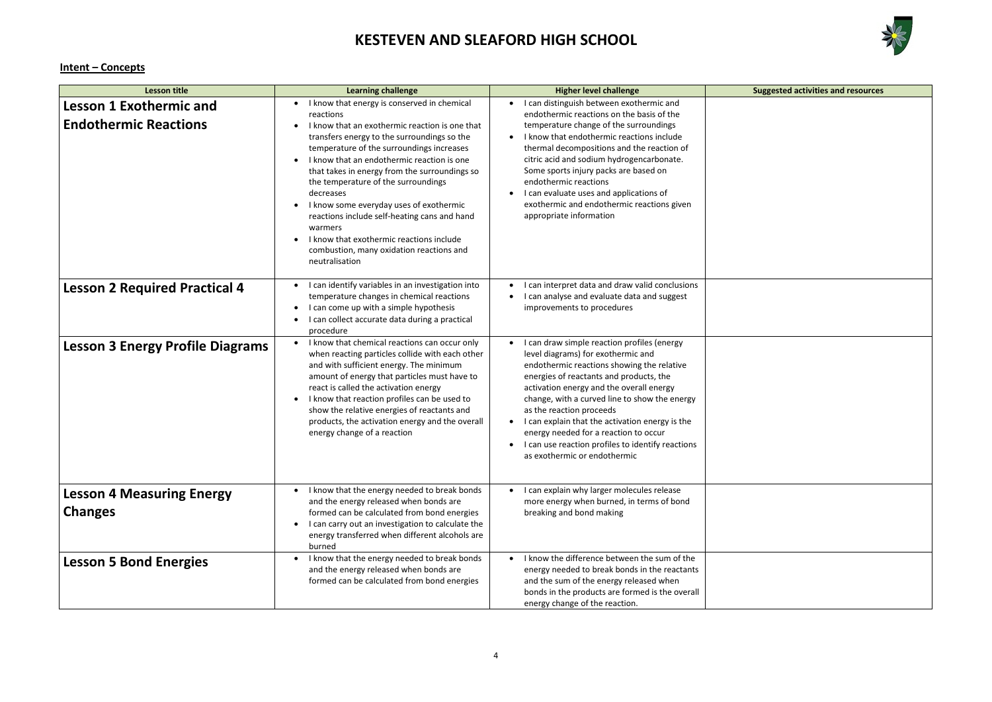

| <b>Suggested activities and resources</b> |  |  |
|-------------------------------------------|--|--|
|                                           |  |  |
|                                           |  |  |
|                                           |  |  |
|                                           |  |  |
|                                           |  |  |
|                                           |  |  |
|                                           |  |  |
|                                           |  |  |
|                                           |  |  |
|                                           |  |  |
|                                           |  |  |
|                                           |  |  |
|                                           |  |  |
|                                           |  |  |
|                                           |  |  |
|                                           |  |  |
|                                           |  |  |
|                                           |  |  |
|                                           |  |  |
|                                           |  |  |
|                                           |  |  |
|                                           |  |  |
|                                           |  |  |
|                                           |  |  |
|                                           |  |  |
|                                           |  |  |
|                                           |  |  |
|                                           |  |  |
|                                           |  |  |
|                                           |  |  |
|                                           |  |  |
|                                           |  |  |
|                                           |  |  |
|                                           |  |  |
|                                           |  |  |
|                                           |  |  |
|                                           |  |  |
|                                           |  |  |
|                                           |  |  |

### **Intent – Concepts**

| <b>Lesson title</b>                                            | <b>Learning challenge</b>                                                                                                                                                                                                                                                                                                                                                                                                                                                                                                                                                                                        | <b>Higher level challenge</b>                                                                                                                                                                                                                                                                                                                                                                                                                                                                     | <b>Suggested activities and resources</b> |
|----------------------------------------------------------------|------------------------------------------------------------------------------------------------------------------------------------------------------------------------------------------------------------------------------------------------------------------------------------------------------------------------------------------------------------------------------------------------------------------------------------------------------------------------------------------------------------------------------------------------------------------------------------------------------------------|---------------------------------------------------------------------------------------------------------------------------------------------------------------------------------------------------------------------------------------------------------------------------------------------------------------------------------------------------------------------------------------------------------------------------------------------------------------------------------------------------|-------------------------------------------|
| <b>Lesson 1 Exothermic and</b><br><b>Endothermic Reactions</b> | I know that energy is conserved in chemical<br>$\bullet$<br>reactions<br>I know that an exothermic reaction is one that<br>$\bullet$<br>transfers energy to the surroundings so the<br>temperature of the surroundings increases<br>I know that an endothermic reaction is one<br>that takes in energy from the surroundings so<br>the temperature of the surroundings<br>decreases<br>I know some everyday uses of exothermic<br>$\bullet$<br>reactions include self-heating cans and hand<br>warmers<br>I know that exothermic reactions include<br>combustion, many oxidation reactions and<br>neutralisation | I can distinguish between exothermic and<br>$\bullet$<br>endothermic reactions on the basis of the<br>temperature change of the surroundings<br>I know that endothermic reactions include<br>thermal decompositions and the reaction of<br>citric acid and sodium hydrogencarbonate.<br>Some sports injury packs are based on<br>endothermic reactions<br>I can evaluate uses and applications of<br>exothermic and endothermic reactions given<br>appropriate information                        |                                           |
| <b>Lesson 2 Required Practical 4</b>                           | I can identify variables in an investigation into<br>temperature changes in chemical reactions<br>I can come up with a simple hypothesis<br>$\bullet$<br>I can collect accurate data during a practical<br>$\bullet$<br>procedure                                                                                                                                                                                                                                                                                                                                                                                | I can interpret data and draw valid conclusions<br>$\bullet$<br>I can analyse and evaluate data and suggest<br>improvements to procedures                                                                                                                                                                                                                                                                                                                                                         |                                           |
| <b>Lesson 3 Energy Profile Diagrams</b>                        | I know that chemical reactions can occur only<br>$\bullet$<br>when reacting particles collide with each other<br>and with sufficient energy. The minimum<br>amount of energy that particles must have to<br>react is called the activation energy<br>I know that reaction profiles can be used to<br>$\bullet$<br>show the relative energies of reactants and<br>products, the activation energy and the overall<br>energy change of a reaction                                                                                                                                                                  | I can draw simple reaction profiles (energy<br>$\bullet$<br>level diagrams) for exothermic and<br>endothermic reactions showing the relative<br>energies of reactants and products, the<br>activation energy and the overall energy<br>change, with a curved line to show the energy<br>as the reaction proceeds<br>I can explain that the activation energy is the<br>energy needed for a reaction to occur<br>I can use reaction profiles to identify reactions<br>as exothermic or endothermic |                                           |
| <b>Lesson 4 Measuring Energy</b><br><b>Changes</b>             | I know that the energy needed to break bonds<br>$\bullet$<br>and the energy released when bonds are<br>formed can be calculated from bond energies<br>I can carry out an investigation to calculate the<br>$\bullet$<br>energy transferred when different alcohols are<br>burned                                                                                                                                                                                                                                                                                                                                 | I can explain why larger molecules release<br>$\bullet$<br>more energy when burned, in terms of bond<br>breaking and bond making                                                                                                                                                                                                                                                                                                                                                                  |                                           |
| <b>Lesson 5 Bond Energies</b>                                  | I know that the energy needed to break bonds<br>and the energy released when bonds are<br>formed can be calculated from bond energies                                                                                                                                                                                                                                                                                                                                                                                                                                                                            | I know the difference between the sum of the<br>energy needed to break bonds in the reactants<br>and the sum of the energy released when<br>bonds in the products are formed is the overall<br>energy change of the reaction.                                                                                                                                                                                                                                                                     |                                           |